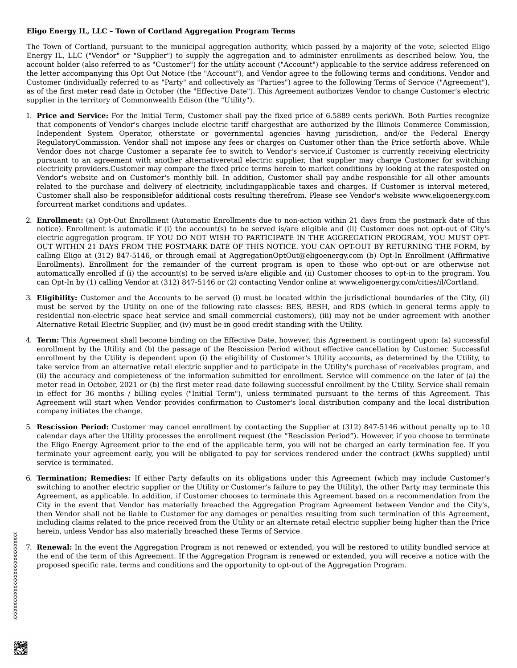## **Eligo Energy IL, LLC – Town of Cortland Aggregation Program Terms**

The Town of Cortland, pursuant to the municipal aggregation authority, which passed by a majority of the vote, selected Eligo Energy IL, LLC ("Vendor" or "Supplier") to supply the aggregation and to administer enrollments as described below. You, the account holder (also referred to as "Customer") for the utility account ("Account") applicable to the service address referenced on the letter accompanying this Opt Out Notice (the "Account"), and Vendor agree to the following terms and conditions. Vendor and Customer (individually referred to as "Party" and collectively as "Parties") agree to the following Terms of Service ("Agreement"), as of the first meter read date in October (the "Effective Date"). This Agreement authorizes Vendor to change Customer's electric supplier in the territory of Commonwealth Edison (the "Utility").

- 1. **Price and Service:** For the Initial Term, Customer shall pay the fixed price of 6.5889 cents perkWh. Both Parties recognize that components of Vendor's charges include electric tariff chargesthat are authorized by the Illinois Commerce Commission, Independent System Operator, otherstate or governmental agencies having jurisdiction, and/or the Federal Energy RegulatoryCommission. Vendor shall not impose any fees or charges on Customer other than the Price setforth above. While Vendor does not charge Customer a separate fee to switch to Vendor's service,if Customer is currently receiving electricity pursuant to an agreement with another alternativeretail electric supplier, that supplier may charge Customer for switching electricity providers.Customer may compare the fixed price terms herein to market conditions by looking at the ratesposted on Vendor's website and on Customer's monthly bill. In addition, Customer shall pay andbe responsible for all other amounts related to the purchase and delivery of electricity, includingapplicable taxes and charges. If Customer is interval metered, Customer shall also be responsiblefor additional costs resulting therefrom. Please see Vendor's website www.eligoenergy.com forcurrent market conditions and updates.
- 2. **Enrollment:** (a) Opt-Out Enrollment (Automatic Enrollments due to non-action within 21 days from the postmark date of this notice). Enrollment is automatic if (i) the account(s) to be served is/are eligible and (ii) Customer does not opt-out of City's electric aggregation program. IF YOU DO NOT WISH TO PARTICIPATE IN THE AGGREGATION PROGRAM, YOU MUST OPT-OUT WITHIN 21 DAYS FROM THE POSTMARK DATE OF THIS NOTICE. YOU CAN OPT-OUT BY RETURNING THE FORM, by calling Eligo at (312) 847-5146, or through email at AggregationOptOut@eligoenergy.com (b) Opt-In Enrollment (Affirmative Enrollments). Enrollment for the remainder of the current program is open to those who opt-out or are otherwise not automatically enrolled if (i) the account(s) to be served is/are eligible and (ii) Customer chooses to opt-in to the program. You can Opt-In by (1) calling Vendor at (312) 847-5146 or (2) contacting Vendor online at www.eligoenergy.com/cities/il/Cortland.
- 3. **Eligibility:** Customer and the Accounts to be served (i) must be located within the jurisdictional boundaries of the City, (ii) must be served by the Utility on one of the following rate classes: BES, BESH, and RDS (which in general terms apply to residential non-electric space heat service and small commercial customers), (iii) may not be under agreement with another Alternative Retail Electric Supplier, and (iv) must be in good credit standing with the Utility.
- 4. **Term:** This Agreement shall become binding on the Effective Date, however, this Agreement is contingent upon: (a) successful enrollment by the Utility and (b) the passage of the Rescission Period without effective cancellation by Customer. Successful enrollment by the Utility is dependent upon (i) the eligibility of Customer's Utility accounts, as determined by the Utility, to take service from an alternative retail electric supplier and to participate in the Utility's purchase of receivables program, and (ii) the accuracy and completeness of the information submitted for enrollment. Service will commence on the later of (a) the meter read in October, 2021 or (b) the first meter read date following successful enrollment by the Utility. Service shall remain in effect for 36 months / billing cycles ("Initial Term"), unless terminated pursuant to the terms of this Agreement. This Agreement will start when Vendor provides confirmation to Customer's local distribution company and the local distribution company initiates the change.
- 5. **Rescission Period:** Customer may cancel enrollment by contacting the Supplier at (312) 847-5146 without penalty up to 10 calendar days after the Utility processes the enrollment request (the "Rescission Period"). However, if you choose to terminate the Eligo Energy Agreement prior to the end of the applicable term, you will not be charged an early termination fee. If you terminate your agreement early, you will be obligated to pay for services rendered under the contract (kWhs supplied) until service is terminated.
- 6. **Termination; Remedies:** If either Party defaults on its obligations under this Agreement (which may include Customer's switching to another electric supplier or the Utility or Customer's failure to pay the Utility), the other Party may terminate this Agreement, as applicable. In addition, if Customer chooses to terminate this Agreement based on a recommendation from the City in the event that Vendor has materially breached the Aggregation Program Agreement between Vendor and the City's, then Vendor shall not be liable to Customer for any damages or penalties resulting from such termination of this Agreement, including claims related to the price received from the Utility or an alternate retail electric supplier being higher than the Price herein, unless Vendor has also materially breached these Terms of Service.
- 7. **Renewal:** In the event the Aggregation Program is not renewed or extended, you will be restored to utility bundled service at the end of the term of this Agreement. If the Aggregation Program is renewed or extended, you will receive a notice with the proposed specific rate, terms and conditions and the opportunity to opt-out of the Aggregation Program.